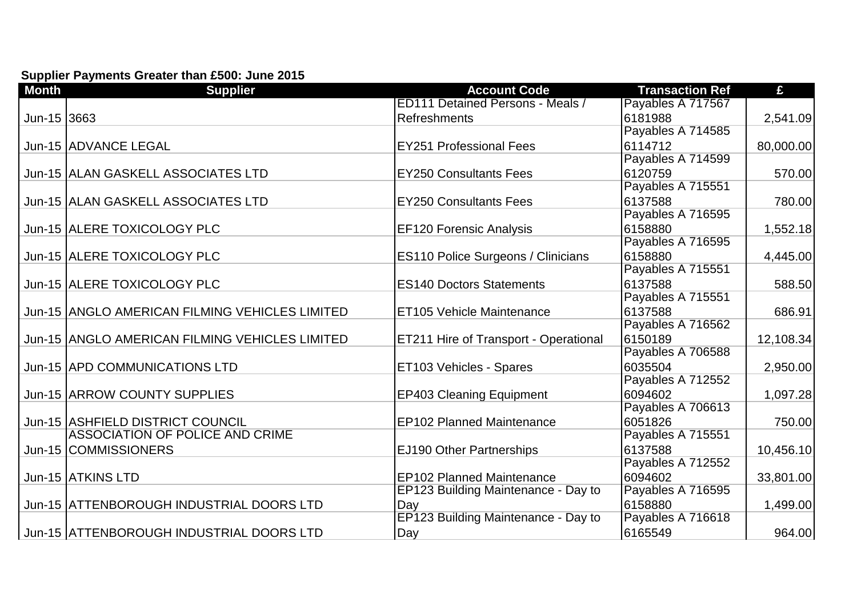## **Supplier Payments Greater than £500: June 2015**

| <b>Month</b> | <b>Supplier</b>                                | <b>Account Code</b>                       | <b>Transaction Ref</b>       | £         |
|--------------|------------------------------------------------|-------------------------------------------|------------------------------|-----------|
|              |                                                | <b>ED111 Detained Persons - Meals /</b>   | Payables A 717567            |           |
| Jun-15 3663  |                                                | <b>Refreshments</b>                       | 6181988                      | 2,541.09  |
|              |                                                |                                           | Payables A 714585            |           |
|              | Jun-15 ADVANCE LEGAL                           | <b>EY251 Professional Fees</b>            | 6114712                      | 80,000.00 |
|              |                                                |                                           | Payables A 714599            |           |
|              | Jun-15 ALAN GASKELL ASSOCIATES LTD             | <b>EY250 Consultants Fees</b>             | 6120759                      | 570.00    |
|              |                                                |                                           | Payables A 715551            |           |
|              | Jun-15 ALLAN GASKELL ASSOCIATES LTD            | <b>EY250 Consultants Fees</b>             | 6137588                      | 780.00    |
|              |                                                |                                           | Payables A 716595            |           |
|              | Jun-15 ALERE TOXICOLOGY PLC                    | <b>EF120 Forensic Analysis</b>            | 6158880                      | 1,552.18  |
|              |                                                |                                           | Payables A 716595            |           |
|              | Jun-15 ALERE TOXICOLOGY PLC                    | <b>ES110 Police Surgeons / Clinicians</b> | 6158880                      | 4,445.00  |
|              |                                                |                                           | Payables A 715551            |           |
|              | Jun-15 ALERE TOXICOLOGY PLC                    | <b>ES140 Doctors Statements</b>           | 6137588                      | 588.50    |
|              |                                                |                                           | Payables A 715551            |           |
|              | Jun-15 ANGLO AMERICAN FILMING VEHICLES LIMITED | ET105 Vehicle Maintenance                 | 6137588                      | 686.91    |
|              |                                                |                                           | Payables A 716562            |           |
|              | Jun-15 ANGLO AMERICAN FILMING VEHICLES LIMITED | ET211 Hire of Transport - Operational     | 6150189                      | 12,108.34 |
|              |                                                |                                           | Payables A 706588            |           |
|              | Jun-15 APD COMMUNICATIONS LTD                  | ET103 Vehicles - Spares                   | 6035504                      | 2,950.00  |
|              |                                                |                                           | Payables A 712552            |           |
|              | Jun-15 ARROW COUNTY SUPPLIES                   | <b>EP403 Cleaning Equipment</b>           | 6094602<br>Payables A 706613 | 1,097.28  |
|              | Jun-15 ASHFIELD DISTRICT COUNCIL               | <b>EP102 Planned Maintenance</b>          | 6051826                      | 750.00    |
|              | <b>ASSOCIATION OF POLICE AND CRIME</b>         |                                           | Payables A 715551            |           |
|              | Jun-15 COMMISSIONERS                           | <b>EJ190 Other Partnerships</b>           | 6137588                      | 10,456.10 |
|              |                                                |                                           | Payables A 712552            |           |
|              | Jun-15 ATKINS LTD                              | <b>EP102 Planned Maintenance</b>          | 6094602                      |           |
|              |                                                | EP123 Building Maintenance - Day to       | Payables A 716595            | 33,801.00 |
|              | Jun-15 ATTENBOROUGH INDUSTRIAL DOORS LTD       | Day                                       | 6158880                      | 1,499.00  |
|              |                                                | EP123 Building Maintenance - Day to       | Payables A 716618            |           |
|              | Jun-15 ATTENBOROUGH INDUSTRIAL DOORS LTD       | Day                                       | 6165549                      | 964.00    |
|              |                                                |                                           |                              |           |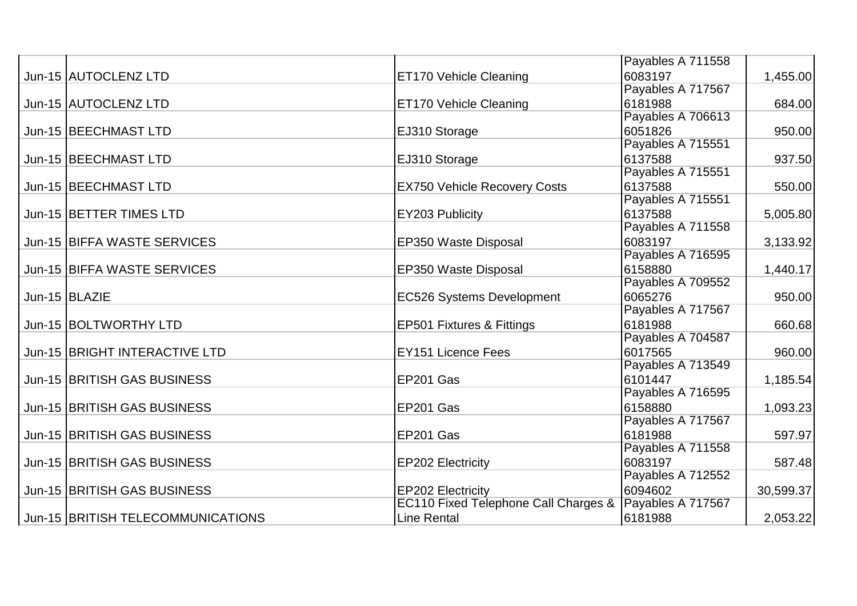|                                   |                                      | Payables A 711558 |           |
|-----------------------------------|--------------------------------------|-------------------|-----------|
| Jun-15 AUTOCLENZ LTD              | <b>ET170 Vehicle Cleaning</b>        | 6083197           | 1,455.00  |
|                                   |                                      | Payables A 717567 |           |
| Jun-15 AUTOCLENZ LTD              | <b>ET170 Vehicle Cleaning</b>        | 6181988           | 684.00    |
|                                   |                                      | Payables A 706613 |           |
| Jun-15   BEECHMAST LTD            | EJ310 Storage                        | 6051826           | 950.00    |
|                                   |                                      | Payables A 715551 |           |
| Jun-15   BEECHMAST LTD            | EJ310 Storage                        | 6137588           | 937.50    |
|                                   |                                      | Payables A 715551 |           |
| Jun-15   BEECHMAST LTD            | <b>EX750 Vehicle Recovery Costs</b>  | 6137588           | 550.00    |
|                                   |                                      | Payables A 715551 |           |
| Jun-15   BETTER TIMES LTD         | <b>EY203 Publicity</b>               | 6137588           | 5,005.80  |
|                                   |                                      | Payables A 711558 |           |
| Jun-15 BIFFA WASTE SERVICES       | EP350 Waste Disposal                 | 6083197           | 3,133.92  |
|                                   |                                      | Payables A 716595 |           |
| Jun-15 BIFFA WASTE SERVICES       | EP350 Waste Disposal                 | 6158880           | 1,440.17  |
|                                   |                                      | Payables A 709552 |           |
| Jun-15 BLAZIE                     | <b>EC526 Systems Development</b>     | 6065276           | 950.00    |
|                                   |                                      | Payables A 717567 |           |
| Jun-15   BOLTWORTHY LTD           | <b>EP501 Fixtures &amp; Fittings</b> | 6181988           | 660.68    |
|                                   |                                      | Payables A 704587 |           |
| Jun-15 BRIGHT INTERACTIVE LTD     | <b>EY151 Licence Fees</b>            | 6017565           | 960.00    |
|                                   |                                      | Payables A 713549 |           |
| Jun-15 BRITISH GAS BUSINESS       | EP201 Gas                            | 6101447           | 1,185.54  |
|                                   |                                      | Payables A 716595 |           |
| Jun-15 BRITISH GAS BUSINESS       | EP201 Gas                            | 6158880           | 1,093.23  |
|                                   |                                      | Payables A 717567 |           |
| Jun-15 BRITISH GAS BUSINESS       | EP201 Gas                            | 6181988           | 597.97    |
|                                   |                                      | Payables A 711558 |           |
| Jun-15 BRITISH GAS BUSINESS       | <b>EP202 Electricity</b>             | 6083197           | 587.48    |
|                                   |                                      | Payables A 712552 |           |
| Jun-15 BRITISH GAS BUSINESS       | <b>EP202 Electricity</b>             | 6094602           | 30,599.37 |
|                                   | EC110 Fixed Telephone Call Charges & | Payables A 717567 |           |
| Jun-15 BRITISH TELECOMMUNICATIONS | <b>Line Rental</b>                   | 6181988           | 2,053.22  |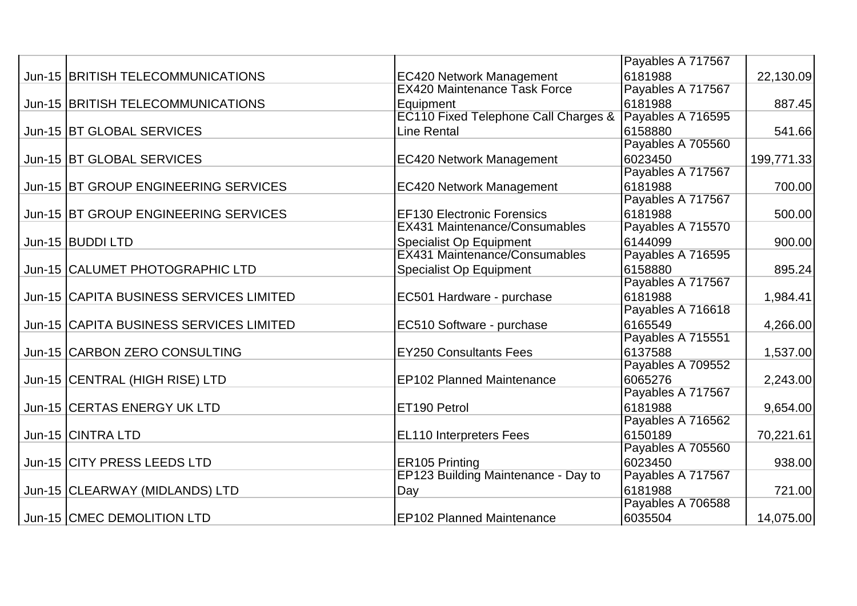|                                         |                                                 | Payables A 717567 |            |
|-----------------------------------------|-------------------------------------------------|-------------------|------------|
| Jun-15 BRITISH TELECOMMUNICATIONS       | <b>EC420 Network Management</b>                 | 6181988           | 22,130.09  |
|                                         | <b>EX420 Maintenance Task Force</b>             | Payables A 717567 |            |
| Jun-15 BRITISH TELECOMMUNICATIONS       | Equipment                                       | 6181988           | 887.45     |
|                                         | <b>EC110 Fixed Telephone Call Charges &amp;</b> | Payables A 716595 |            |
| Jun-15 BT GLOBAL SERVICES               | <b>Line Rental</b>                              | 6158880           | 541.66     |
|                                         |                                                 | Payables A 705560 |            |
| Jun-15 BT GLOBAL SERVICES               | <b>EC420 Network Management</b>                 | 6023450           | 199,771.33 |
|                                         |                                                 | Payables A 717567 |            |
| Jun-15 BT GROUP ENGINEERING SERVICES    | <b>EC420 Network Management</b>                 | 6181988           | 700.00     |
|                                         |                                                 | Payables A 717567 |            |
| Jun-15 BT GROUP ENGINEERING SERVICES    | <b>EF130 Electronic Forensics</b>               | 6181988           | 500.00     |
|                                         | <b>EX431 Maintenance/Consumables</b>            | Payables A 715570 |            |
| Jun-15  BUDDI LTD                       | <b>Specialist Op Equipment</b>                  | 6144099           | 900.00     |
|                                         | <b>EX431 Maintenance/Consumables</b>            | Payables A 716595 |            |
| Jun-15 CALUMET PHOTOGRAPHIC LTD         | <b>Specialist Op Equipment</b>                  | 6158880           | 895.24     |
|                                         |                                                 | Payables A 717567 |            |
| Jun-15 CAPITA BUSINESS SERVICES LIMITED | EC501 Hardware - purchase                       | 6181988           | 1,984.41   |
|                                         |                                                 | Payables A 716618 |            |
| Jun-15 CAPITA BUSINESS SERVICES LIMITED | EC510 Software - purchase                       | 6165549           | 4,266.00   |
|                                         |                                                 | Payables A 715551 |            |
| Jun-15 CARBON ZERO CONSULTING           | <b>EY250 Consultants Fees</b>                   | 6137588           | 1,537.00   |
|                                         |                                                 | Payables A 709552 |            |
| Jun-15 CENTRAL (HIGH RISE) LTD          | <b>EP102 Planned Maintenance</b>                | 6065276           | 2,243.00   |
|                                         |                                                 | Payables A 717567 |            |
| Jun-15 CERTAS ENERGY UK LTD             | ET190 Petrol                                    | 6181988           | 9,654.00   |
|                                         |                                                 | Payables A 716562 |            |
| Jun-15 CINTRA LTD                       | <b>EL110 Interpreters Fees</b>                  | 6150189           | 70,221.61  |
|                                         |                                                 | Payables A 705560 |            |
| Jun-15 CITY PRESS LEEDS LTD             | <b>ER105 Printing</b>                           | 6023450           | 938.00     |
|                                         | EP123 Building Maintenance - Day to             | Payables A 717567 |            |
| Jun-15 CLEARWAY (MIDLANDS) LTD          | Day                                             | 6181988           | 721.00     |
|                                         |                                                 | Payables A 706588 |            |
| Jun-15 CMEC DEMOLITION LTD              | <b>EP102 Planned Maintenance</b>                | 6035504           | 14,075.00  |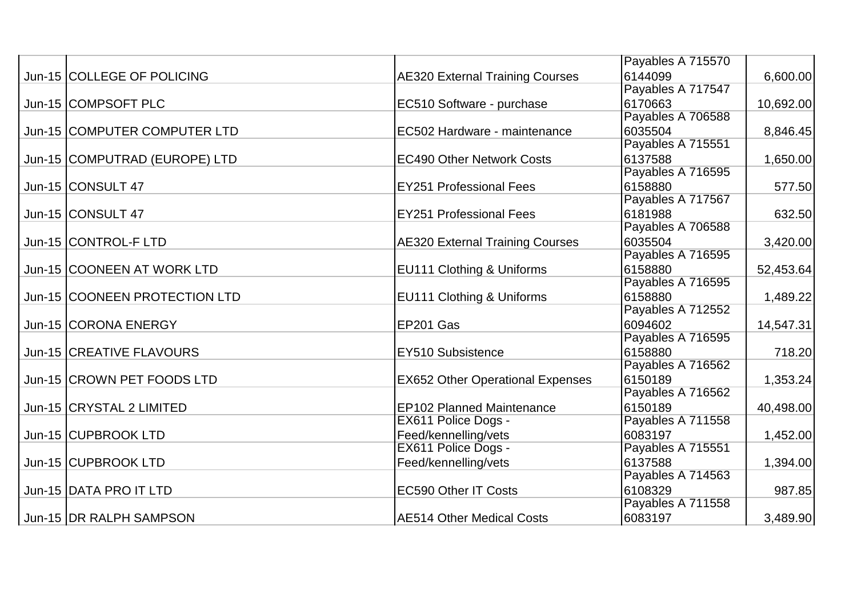|                               |                                         | Payables A 715570 |           |
|-------------------------------|-----------------------------------------|-------------------|-----------|
| Jun-15 COLLEGE OF POLICING    | <b>AE320 External Training Courses</b>  | 6144099           | 6,600.00  |
|                               |                                         | Payables A 717547 |           |
| Jun-15 COMPSOFT PLC           | EC510 Software - purchase               | 6170663           | 10,692.00 |
|                               |                                         | Payables A 706588 |           |
| Jun-15 COMPUTER COMPUTER LTD  | EC502 Hardware - maintenance            | 6035504           | 8,846.45  |
|                               |                                         | Payables A 715551 |           |
| Jun-15 COMPUTRAD (EUROPE) LTD | <b>EC490 Other Network Costs</b>        | 6137588           | 1,650.00  |
|                               |                                         | Payables A 716595 |           |
| Jun-15 CONSULT 47             | <b>EY251 Professional Fees</b>          | 6158880           | 577.50    |
|                               |                                         | Payables A 717567 |           |
| Jun-15 CONSULT 47             | <b>EY251 Professional Fees</b>          | 6181988           | 632.50    |
|                               |                                         | Payables A 706588 |           |
| Jun-15 CONTROL-F LTD          | <b>AE320 External Training Courses</b>  | 6035504           | 3,420.00  |
|                               |                                         | Payables A 716595 |           |
| Jun-15 COONEEN AT WORK LTD    | <b>EU111 Clothing &amp; Uniforms</b>    | 6158880           | 52,453.64 |
|                               |                                         | Payables A 716595 |           |
| Jun-15 COONEEN PROTECTION LTD | EU111 Clothing & Uniforms               | 6158880           | 1,489.22  |
|                               |                                         | Payables A 712552 |           |
| Jun-15 CORONA ENERGY          | EP201 Gas                               | 6094602           | 14,547.31 |
|                               |                                         | Payables A 716595 |           |
| Jun-15 CREATIVE FLAVOURS      | EY510 Subsistence                       | 6158880           | 718.20    |
|                               |                                         | Payables A 716562 |           |
| Jun-15 CROWN PET FOODS LTD    | <b>EX652 Other Operational Expenses</b> | 6150189           | 1,353.24  |
|                               |                                         | Payables A 716562 |           |
| Jun-15 CRYSTAL 2 LIMITED      | EP102 Planned Maintenance               | 6150189           | 40,498.00 |
|                               | EX611 Police Dogs -                     | Payables A 711558 |           |
| Jun-15 CUPBROOK LTD           | Feed/kennelling/vets                    | 6083197           | 1,452.00  |
|                               | EX611 Police Dogs -                     | Payables A 715551 |           |
| Jun-15 CUPBROOK LTD           | Feed/kennelling/vets                    | 6137588           | 1,394.00  |
|                               |                                         | Payables A 714563 |           |
| Jun-15 DATA PRO IT LTD        | <b>EC590 Other IT Costs</b>             | 6108329           | 987.85    |
|                               |                                         | Payables A 711558 |           |
| Jun-15   DR RALPH SAMPSON     | <b>AE514 Other Medical Costs</b>        | 6083197           | 3,489.90  |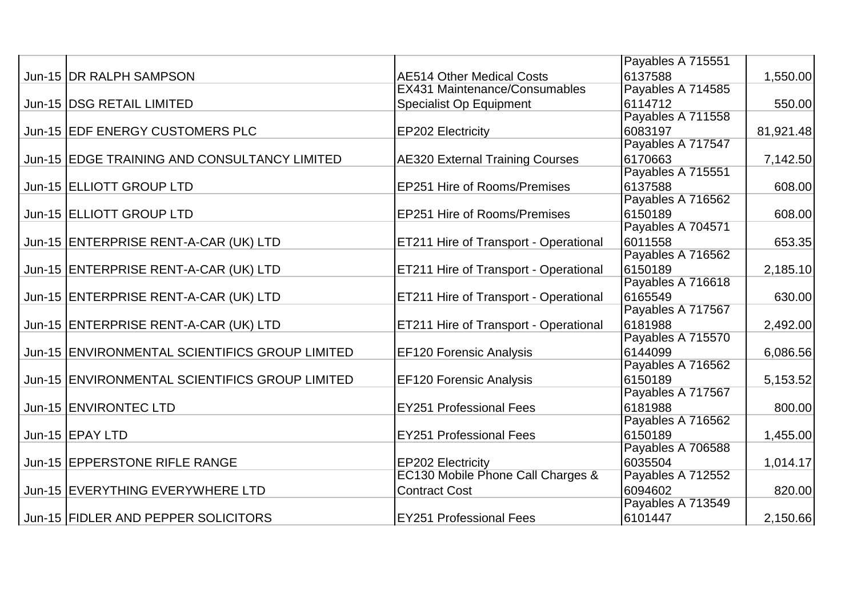|                                                |                                              | Payables A 715551 |           |
|------------------------------------------------|----------------------------------------------|-------------------|-----------|
| Jun-15 DR RALPH SAMPSON                        | <b>AE514 Other Medical Costs</b>             | 6137588           | 1,550.00  |
|                                                | <b>EX431 Maintenance/Consumables</b>         | Payables A 714585 |           |
| Jun-15   DSG RETAIL LIMITED                    | <b>Specialist Op Equipment</b>               | 6114712           | 550.00    |
|                                                |                                              | Payables A 711558 |           |
| Jun-15 EDF ENERGY CUSTOMERS PLC                | <b>EP202 Electricity</b>                     | 6083197           | 81,921.48 |
|                                                |                                              | Payables A 717547 |           |
| Jun-15 EDGE TRAINING AND CONSULTANCY LIMITED   | <b>AE320 External Training Courses</b>       | 6170663           | 7,142.50  |
|                                                |                                              | Payables A 715551 |           |
| Jun-15 ELLIOTT GROUP LTD                       | <b>EP251 Hire of Rooms/Premises</b>          | 6137588           | 608.00    |
|                                                |                                              | Payables A 716562 |           |
| Jun-15 ELLIOTT GROUP LTD                       | <b>EP251 Hire of Rooms/Premises</b>          | 6150189           | 608.00    |
|                                                |                                              | Payables A 704571 |           |
| Jun-15 ENTERPRISE RENT-A-CAR (UK) LTD          | <b>ET211 Hire of Transport - Operational</b> | 6011558           | 653.35    |
|                                                |                                              | Payables A 716562 |           |
| Jun-15 ENTERPRISE RENT-A-CAR (UK) LTD          | <b>ET211 Hire of Transport - Operational</b> | 6150189           | 2,185.10  |
|                                                |                                              | Payables A 716618 |           |
| Jun-15 ENTERPRISE RENT-A-CAR (UK) LTD          | <b>ET211 Hire of Transport - Operational</b> | 6165549           | 630.00    |
|                                                |                                              | Payables A 717567 |           |
| Jun-15 ENTERPRISE RENT-A-CAR (UK) LTD          | <b>ET211 Hire of Transport - Operational</b> | 6181988           | 2,492.00  |
|                                                |                                              | Payables A 715570 |           |
| Jun-15 ENVIRONMENTAL SCIENTIFICS GROUP LIMITED | <b>EF120 Forensic Analysis</b>               | 6144099           | 6,086.56  |
|                                                |                                              | Payables A 716562 |           |
| Jun-15 ENVIRONMENTAL SCIENTIFICS GROUP LIMITED | <b>EF120 Forensic Analysis</b>               | 6150189           | 5,153.52  |
|                                                |                                              | Payables A 717567 |           |
| Jun-15 ENVIRONTEC LTD                          | <b>EY251 Professional Fees</b>               | 6181988           | 800.00    |
|                                                |                                              | Payables A 716562 |           |
| Jun-15 EPAY LTD                                | <b>EY251 Professional Fees</b>               | 6150189           | 1,455.00  |
|                                                |                                              | Payables A 706588 |           |
| Jun-15 EPPERSTONE RIFLE RANGE                  | <b>EP202 Electricity</b>                     | 6035504           | 1,014.17  |
|                                                | EC130 Mobile Phone Call Charges &            | Payables A 712552 |           |
| Jun-15 EVERYTHING EVERYWHERE LTD               | <b>Contract Cost</b>                         | 6094602           | 820.00    |
|                                                |                                              | Payables A 713549 |           |
| Jun-15 FIDLER AND PEPPER SOLICITORS            | <b>EY251 Professional Fees</b>               | 6101447           | 2,150.66  |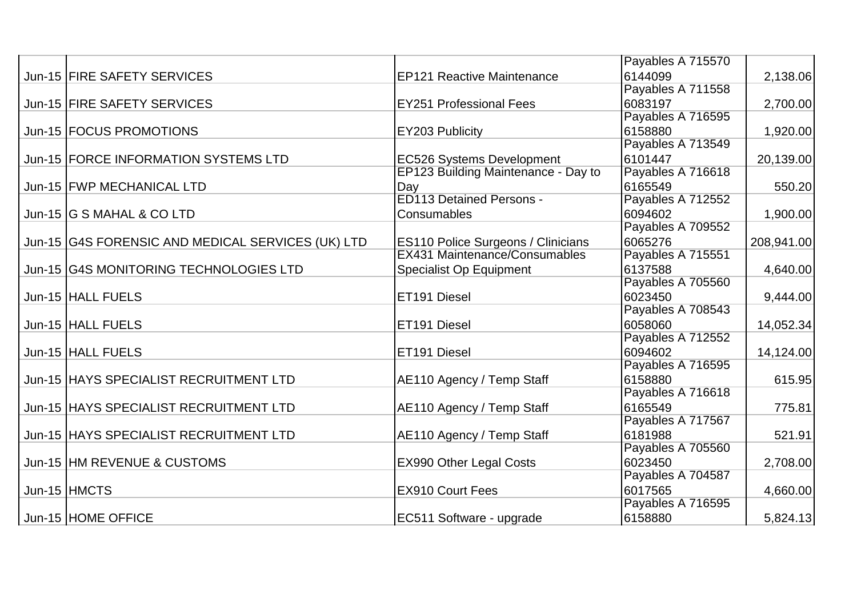|                                                   |                                           | Payables A 715570 |            |
|---------------------------------------------------|-------------------------------------------|-------------------|------------|
| Jun-15 FIRE SAFETY SERVICES                       | <b>EP121 Reactive Maintenance</b>         | 6144099           | 2,138.06   |
|                                                   |                                           | Payables A 711558 |            |
| Jun-15 FIRE SAFETY SERVICES                       | <b>EY251 Professional Fees</b>            | 6083197           | 2,700.00   |
|                                                   |                                           | Payables A 716595 |            |
| Jun-15   FOCUS PROMOTIONS                         | EY203 Publicity                           | 6158880           | 1,920.00   |
|                                                   |                                           | Payables A 713549 |            |
| Jun-15 FORCE INFORMATION SYSTEMS LTD              | <b>EC526 Systems Development</b>          | 6101447           | 20,139.00  |
|                                                   | EP123 Building Maintenance - Day to       | Payables A 716618 |            |
| Jun-15   FWP MECHANICAL LTD                       | Day                                       | 6165549           | 550.20     |
|                                                   | <b>ED113 Detained Persons -</b>           | Payables A 712552 |            |
| Jun-15 G S MAHAL & CO LTD                         | Consumables                               | 6094602           | 1,900.00   |
|                                                   |                                           | Payables A 709552 |            |
| Jun-15 G4S FORENSIC AND MEDICAL SERVICES (UK) LTD | <b>ES110 Police Surgeons / Clinicians</b> | 6065276           | 208,941.00 |
|                                                   | <b>EX431 Maintenance/Consumables</b>      | Payables A 715551 |            |
| Jun-15 G4S MONITORING TECHNOLOGIES LTD            | <b>Specialist Op Equipment</b>            | 6137588           | 4,640.00   |
|                                                   |                                           | Payables A 705560 |            |
| Jun-15 HALL FUELS                                 | <b>ET191 Diesel</b>                       | 6023450           | 9,444.00   |
|                                                   |                                           | Payables A 708543 |            |
| Jun-15 HALL FUELS                                 | ET191 Diesel                              | 6058060           | 14,052.34  |
|                                                   |                                           | Payables A 712552 |            |
| Jun-15 HALL FUELS                                 | ET191 Diesel                              | 6094602           | 14,124.00  |
|                                                   |                                           | Payables A 716595 |            |
| Jun-15 HAYS SPECIALIST RECRUITMENT LTD            | AE110 Agency / Temp Staff                 | 6158880           | 615.95     |
|                                                   |                                           | Payables A 716618 |            |
| Jun-15 HAYS SPECIALIST RECRUITMENT LTD            | AE110 Agency / Temp Staff                 | 6165549           | 775.81     |
|                                                   |                                           | Payables A 717567 |            |
| Jun-15 HAYS SPECIALIST RECRUITMENT LTD            | AE110 Agency / Temp Staff                 | 6181988           | 521.91     |
|                                                   |                                           | Payables A 705560 |            |
| Jun-15 HM REVENUE & CUSTOMS                       | <b>EX990 Other Legal Costs</b>            | 6023450           | 2,708.00   |
|                                                   |                                           | Payables A 704587 |            |
| Jun-15 HMCTS                                      | <b>EX910 Court Fees</b>                   | 6017565           | 4,660.00   |
|                                                   |                                           | Payables A 716595 |            |
| Jun-15 HOME OFFICE                                | EC511 Software - upgrade                  | 6158880           | 5,824.13   |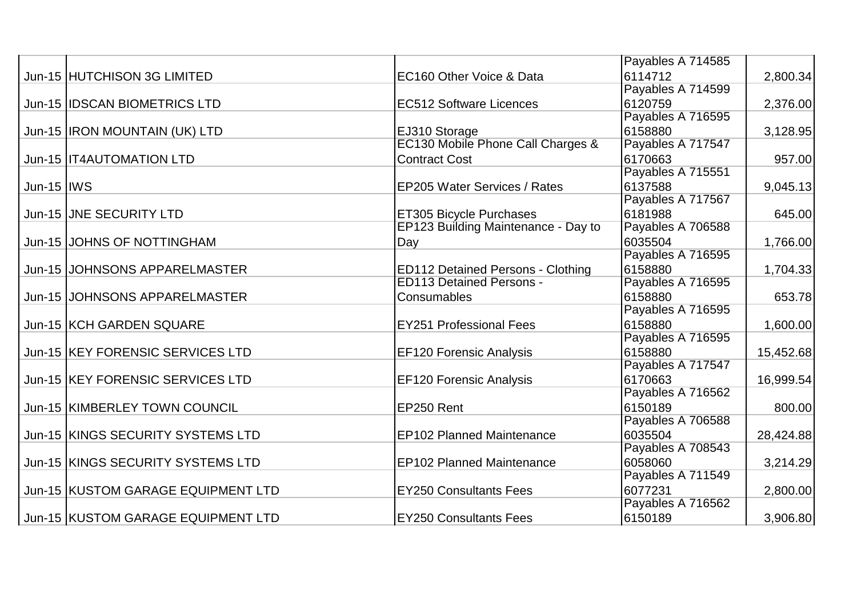|                    |                                    |                                          | Payables A 714585 |           |
|--------------------|------------------------------------|------------------------------------------|-------------------|-----------|
|                    | Jun-15 HUTCHISON 3G LIMITED        | EC160 Other Voice & Data                 | 6114712           | 2,800.34  |
|                    |                                    |                                          | Payables A 714599 |           |
|                    | Jun-15  IDSCAN BIOMETRICS LTD      | <b>EC512 Software Licences</b>           | 6120759           | 2,376.00  |
|                    |                                    |                                          | Payables A 716595 |           |
|                    | Jun-15  IRON MOUNTAIN (UK) LTD     | EJ310 Storage                            | 6158880           | 3,128.95  |
|                    |                                    | EC130 Mobile Phone Call Charges &        | Payables A 717547 |           |
|                    | Jun-15  IT4AUTOMATION LTD          | <b>Contract Cost</b>                     | 6170663           | 957.00    |
|                    |                                    |                                          | Payables A 715551 |           |
| <b>Jun-15  IWS</b> |                                    | <b>EP205 Water Services / Rates</b>      | 6137588           | 9,045.13  |
|                    |                                    |                                          | Payables A 717567 |           |
|                    | Jun-15 JJNE SECURITY LTD           | <b>ET305 Bicycle Purchases</b>           | 6181988           | 645.00    |
|                    |                                    | EP123 Building Maintenance - Day to      | Payables A 706588 |           |
|                    | Jun-15 JJOHNS OF NOTTINGHAM        | Day                                      | 6035504           | 1,766.00  |
|                    |                                    |                                          | Payables A 716595 |           |
|                    | Jun-15 JJOHNSONS APPARELMASTER     | <b>ED112 Detained Persons - Clothing</b> | 6158880           | 1,704.33  |
|                    |                                    | <b>ED113 Detained Persons -</b>          | Payables A 716595 |           |
|                    | Jun-15 JJOHNSONS APPARELMASTER     | Consumables                              | 6158880           | 653.78    |
|                    |                                    |                                          | Payables A 716595 |           |
|                    | Jun-15 KCH GARDEN SQUARE           | <b>EY251 Professional Fees</b>           | 6158880           | 1,600.00  |
|                    |                                    |                                          | Payables A 716595 |           |
|                    | Jun-15 KEY FORENSIC SERVICES LTD   | <b>EF120 Forensic Analysis</b>           | 6158880           | 15,452.68 |
|                    |                                    |                                          | Payables A 717547 |           |
|                    | Jun-15 KEY FORENSIC SERVICES LTD   | <b>EF120 Forensic Analysis</b>           | 6170663           | 16,999.54 |
|                    |                                    |                                          | Payables A 716562 |           |
|                    | Jun-15 KIMBERLEY TOWN COUNCIL      | EP250 Rent                               | 6150189           | 800.00    |
|                    |                                    |                                          | Payables A 706588 |           |
|                    | Jun-15 KINGS SECURITY SYSTEMS LTD  | <b>EP102 Planned Maintenance</b>         | 6035504           | 28,424.88 |
|                    |                                    |                                          | Payables A 708543 |           |
|                    | Jun-15 KINGS SECURITY SYSTEMS LTD  | <b>EP102 Planned Maintenance</b>         | 6058060           | 3,214.29  |
|                    |                                    |                                          | Payables A 711549 |           |
|                    | Jun-15 KUSTOM GARAGE EQUIPMENT LTD | <b>EY250 Consultants Fees</b>            | 6077231           | 2,800.00  |
|                    |                                    |                                          | Payables A 716562 |           |
|                    | Jun-15 KUSTOM GARAGE EQUIPMENT LTD | <b>EY250 Consultants Fees</b>            | 6150189           | 3,906.80  |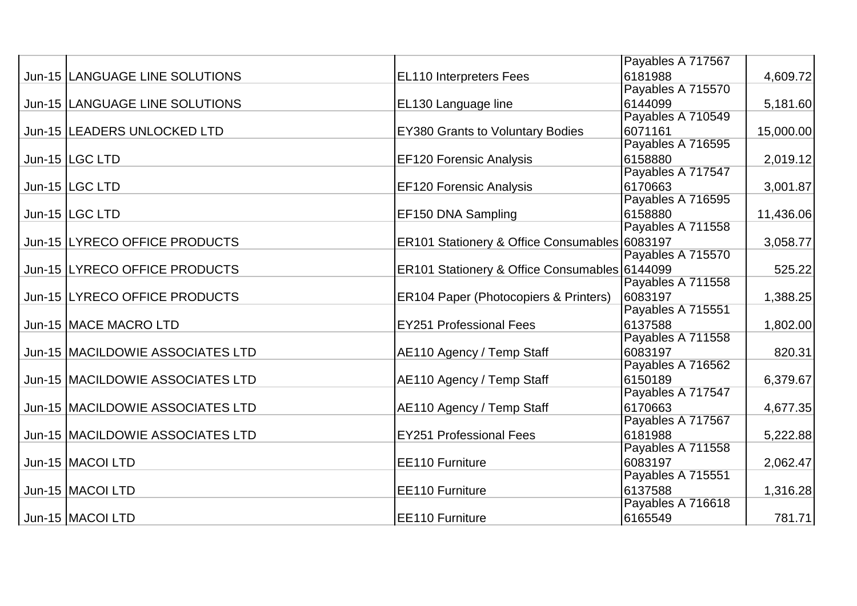|                                    |                                                  | Payables A 717567 |           |
|------------------------------------|--------------------------------------------------|-------------------|-----------|
| Jun-15 LANGUAGE LINE SOLUTIONS     | <b>EL110 Interpreters Fees</b>                   | 6181988           | 4,609.72  |
|                                    |                                                  | Payables A 715570 |           |
| Jun-15 LANGUAGE LINE SOLUTIONS     | EL130 Language line                              | 6144099           | 5,181.60  |
|                                    |                                                  | Payables A 710549 |           |
| Jun-15 LEADERS UNLOCKED LTD        | <b>EY380 Grants to Voluntary Bodies</b>          | 6071161           | 15,000.00 |
|                                    |                                                  | Payables A 716595 |           |
| Jun-15  LGC LTD                    | <b>EF120 Forensic Analysis</b>                   | 6158880           | 2,019.12  |
|                                    |                                                  | Payables A 717547 |           |
| Jun-15 LGC LTD                     | <b>EF120 Forensic Analysis</b>                   | 6170663           | 3,001.87  |
|                                    |                                                  | Payables A 716595 |           |
| Jun-15  LGC LTD                    | EF150 DNA Sampling                               | 6158880           | 11,436.06 |
|                                    |                                                  | Payables A 711558 |           |
| Jun-15 LYRECO OFFICE PRODUCTS      | ER101 Stationery & Office Consumables 6083197    |                   | 3,058.77  |
|                                    |                                                  | Payables A 715570 |           |
| Jun-15 LYRECO OFFICE PRODUCTS      | ER101 Stationery & Office Consumables 6144099    |                   | 525.22    |
|                                    |                                                  | Payables A 711558 |           |
| Jun-15 LYRECO OFFICE PRODUCTS      | <b>ER104 Paper (Photocopiers &amp; Printers)</b> | 6083197           | 1,388.25  |
|                                    |                                                  | Payables A 715551 |           |
| Jun-15 MACE MACRO LTD              | <b>EY251 Professional Fees</b>                   | 6137588           | 1,802.00  |
|                                    |                                                  | Payables A 711558 |           |
| Jun-15   MACILDOWIE ASSOCIATES LTD | AE110 Agency / Temp Staff                        | 6083197           | 820.31    |
|                                    |                                                  | Payables A 716562 |           |
| Jun-15   MACILDOWIE ASSOCIATES LTD | AE110 Agency / Temp Staff                        | 6150189           | 6,379.67  |
|                                    |                                                  | Payables A 717547 |           |
| Jun-15   MACILDOWIE ASSOCIATES LTD | AE110 Agency / Temp Staff                        | 6170663           | 4,677.35  |
|                                    |                                                  | Payables A 717567 |           |
| Jun-15  MACILDOWIE ASSOCIATES LTD  | <b>EY251 Professional Fees</b>                   | 6181988           | 5,222.88  |
|                                    |                                                  | Payables A 711558 |           |
| Jun-15   MACOI LTD                 | <b>EE110 Furniture</b>                           | 6083197           | 2,062.47  |
|                                    |                                                  | Payables A 715551 |           |
| Jun-15   MACOI LTD                 | <b>EE110 Furniture</b>                           | 6137588           | 1,316.28  |
|                                    |                                                  | Payables A 716618 |           |
| Jun-15   MACOI LTD                 | <b>EE110 Furniture</b>                           | 6165549           | 781.71    |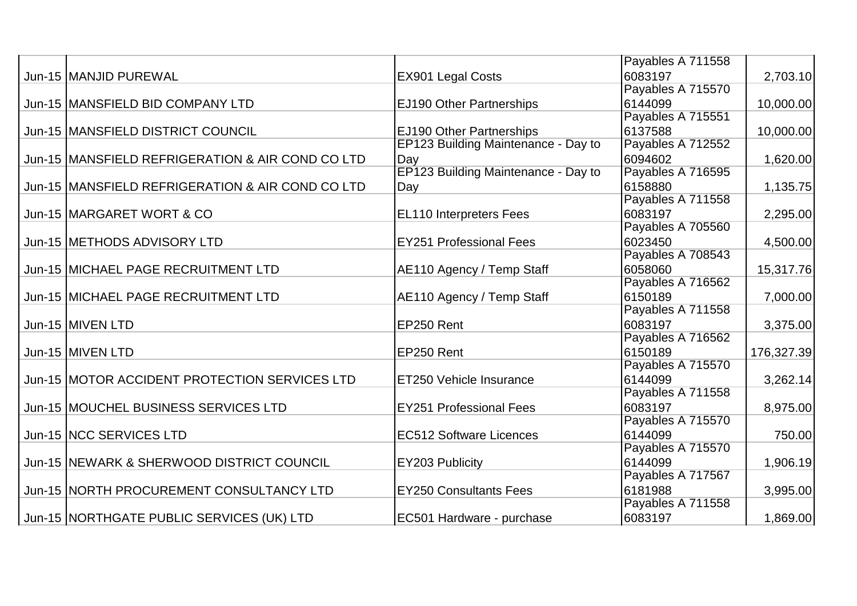|                                                   |                                     | Payables A 711558 |            |
|---------------------------------------------------|-------------------------------------|-------------------|------------|
| Jun-15 MANJID PUREWAL                             | <b>EX901 Legal Costs</b>            | 6083197           | 2,703.10   |
|                                                   |                                     | Payables A 715570 |            |
| Jun-15   MANSFIELD BID COMPANY LTD                | <b>EJ190 Other Partnerships</b>     | 6144099           | 10,000.00  |
|                                                   |                                     | Payables A 715551 |            |
| Jun-15  MANSFIELD DISTRICT COUNCIL                | <b>EJ190 Other Partnerships</b>     | 6137588           | 10,000.00  |
|                                                   | EP123 Building Maintenance - Day to | Payables A 712552 |            |
| Jun-15  MANSFIELD REFRIGERATION & AIR COND CO LTD | Day                                 | 6094602           | 1,620.00   |
|                                                   | EP123 Building Maintenance - Day to | Payables A 716595 |            |
| Jun-15 MANSFIELD REFRIGERATION & AIR COND CO LTD  | Day                                 | 6158880           | 1,135.75   |
|                                                   |                                     | Payables A 711558 |            |
| Jun-15 MARGARET WORT & CO                         | <b>EL110 Interpreters Fees</b>      | 6083197           | 2,295.00   |
|                                                   |                                     | Payables A 705560 |            |
| Jun-15 METHODS ADVISORY LTD                       | <b>EY251 Professional Fees</b>      | 6023450           | 4,500.00   |
|                                                   |                                     | Payables A 708543 |            |
| Jun-15 MICHAEL PAGE RECRUITMENT LTD               | AE110 Agency / Temp Staff           | 6058060           | 15,317.76  |
|                                                   |                                     | Payables A 716562 |            |
| Jun-15 MICHAEL PAGE RECRUITMENT LTD               | AE110 Agency / Temp Staff           | 6150189           | 7,000.00   |
|                                                   |                                     | Payables A 711558 |            |
| Jun-15 MIVEN LTD                                  | EP250 Rent                          | 6083197           | 3,375.00   |
|                                                   |                                     | Payables A 716562 |            |
| Jun-15 MIVEN LTD                                  | EP250 Rent                          | 6150189           | 176,327.39 |
|                                                   |                                     | Payables A 715570 |            |
| Jun-15 MOTOR ACCIDENT PROTECTION SERVICES LTD     | <b>ET250 Vehicle Insurance</b>      | 6144099           | 3,262.14   |
|                                                   |                                     | Payables A 711558 |            |
| Jun-15 MOUCHEL BUSINESS SERVICES LTD              | <b>EY251 Professional Fees</b>      | 6083197           | 8,975.00   |
|                                                   |                                     | Payables A 715570 |            |
| Jun-15 NCC SERVICES LTD                           | <b>EC512 Software Licences</b>      | 6144099           | 750.00     |
|                                                   |                                     | Payables A 715570 |            |
| Jun-15 NEWARK & SHERWOOD DISTRICT COUNCIL         | EY203 Publicity                     | 6144099           | 1,906.19   |
|                                                   |                                     | Payables A 717567 |            |
| Jun-15 NORTH PROCUREMENT CONSULTANCY LTD          | <b>EY250 Consultants Fees</b>       | 6181988           | 3,995.00   |
|                                                   |                                     | Payables A 711558 |            |
| Jun-15 NORTHGATE PUBLIC SERVICES (UK) LTD         | EC501 Hardware - purchase           | 6083197           | 1,869.00   |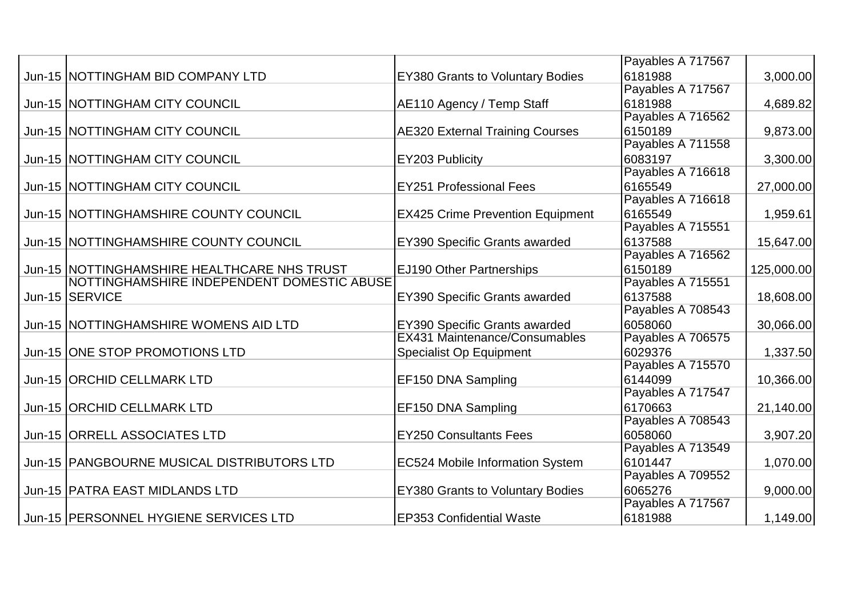|                                             |                                         | Payables A 717567 |            |
|---------------------------------------------|-----------------------------------------|-------------------|------------|
| Jun-15 NOTTINGHAM BID COMPANY LTD           | <b>EY380 Grants to Voluntary Bodies</b> | 6181988           | 3,000.00   |
|                                             |                                         | Payables A 717567 |            |
| Jun-15 NOTTINGHAM CITY COUNCIL              | AE110 Agency / Temp Staff               | 6181988           | 4,689.82   |
|                                             |                                         | Payables A 716562 |            |
| Jun-15 NOTTINGHAM CITY COUNCIL              | <b>AE320 External Training Courses</b>  | 6150189           | 9,873.00   |
|                                             |                                         | Payables A 711558 |            |
| Jun-15 NOTTINGHAM CITY COUNCIL              | <b>EY203 Publicity</b>                  | 6083197           | 3,300.00   |
|                                             |                                         | Payables A 716618 |            |
| Jun-15 NOTTINGHAM CITY COUNCIL              | <b>EY251 Professional Fees</b>          | 6165549           | 27,000.00  |
|                                             |                                         | Payables A 716618 |            |
| Jun-15 NOTTINGHAMSHIRE COUNTY COUNCIL       | <b>EX425 Crime Prevention Equipment</b> | 6165549           | 1,959.61   |
|                                             |                                         | Payables A 715551 |            |
| Jun-15 NOTTINGHAMSHIRE COUNTY COUNCIL       | <b>EY390 Specific Grants awarded</b>    | 6137588           | 15,647.00  |
|                                             |                                         | Payables A 716562 |            |
| Jun-15 NOTTINGHAMSHIRE HEALTHCARE NHS TRUST | <b>EJ190 Other Partnerships</b>         | 6150189           | 125,000.00 |
| NOTTINGHAMSHIRE INDEPENDENT DOMESTIC ABUSE  |                                         | Payables A 715551 |            |
| Jun-15 SERVICE                              | <b>EY390 Specific Grants awarded</b>    | 6137588           | 18,608.00  |
|                                             |                                         | Payables A 708543 |            |
| Jun-15 NOTTINGHAMSHIRE WOMENS AID LTD       | <b>EY390 Specific Grants awarded</b>    | 6058060           | 30,066.00  |
|                                             | <b>EX431 Maintenance/Consumables</b>    | Payables A 706575 |            |
| Jun-15 ONE STOP PROMOTIONS LTD              | <b>Specialist Op Equipment</b>          | 6029376           | 1,337.50   |
|                                             |                                         | Payables A 715570 |            |
| Jun-15 ORCHID CELLMARK LTD                  | <b>EF150 DNA Sampling</b>               | 6144099           | 10,366.00  |
|                                             |                                         | Payables A 717547 |            |
| Jun-15 ORCHID CELLMARK LTD                  | <b>EF150 DNA Sampling</b>               | 6170663           | 21,140.00  |
|                                             |                                         | Payables A 708543 |            |
| Jun-15 ORRELL ASSOCIATES LTD                | <b>EY250 Consultants Fees</b>           | 6058060           | 3,907.20   |
|                                             |                                         | Payables A 713549 |            |
| Jun-15 PANGBOURNE MUSICAL DISTRIBUTORS LTD  | <b>EC524 Mobile Information System</b>  | 6101447           | 1,070.00   |
|                                             |                                         | Payables A 709552 |            |
| Jun-15   PATRA EAST MIDLANDS LTD            | <b>EY380 Grants to Voluntary Bodies</b> | 6065276           | 9,000.00   |
|                                             |                                         | Payables A 717567 |            |
| Jun-15   PERSONNEL HYGIENE SERVICES LTD     | <b>EP353 Confidential Waste</b>         | 6181988           | 1,149.00   |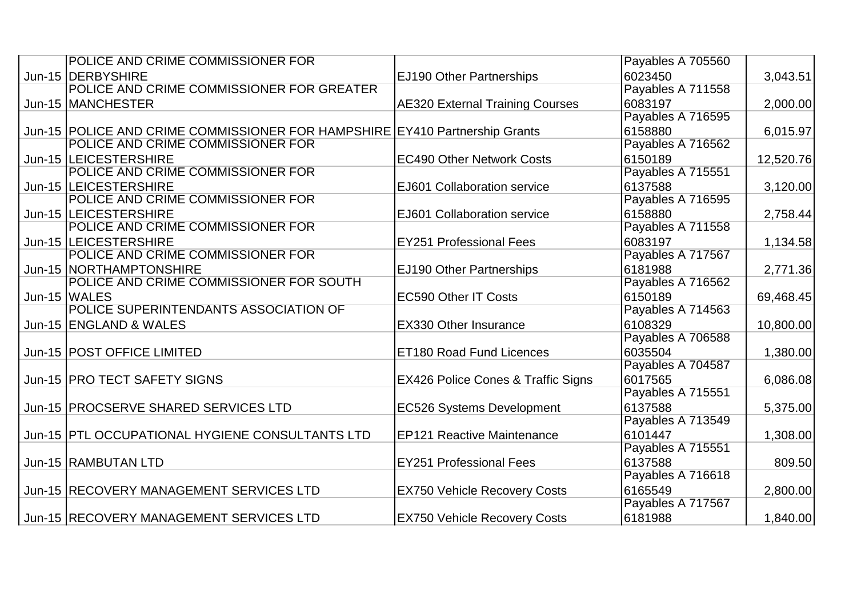| POLICE AND CRIME COMMISSIONER FOR                                           |                                        | Payables A 705560 |           |
|-----------------------------------------------------------------------------|----------------------------------------|-------------------|-----------|
| Jun-15   DERBYSHIRE                                                         | <b>EJ190 Other Partnerships</b>        | 6023450           | 3,043.51  |
| POLICE AND CRIME COMMISSIONER FOR GREATER                                   |                                        | Payables A 711558 |           |
| Jun-15 MANCHESTER                                                           | <b>AE320 External Training Courses</b> | 6083197           | 2,000.00  |
|                                                                             |                                        | Payables A 716595 |           |
| Jun-15 POLICE AND CRIME COMMISSIONER FOR HAMPSHIRE EY410 Partnership Grants |                                        | 6158880           | 6,015.97  |
| POLICE AND CRIME COMMISSIONER FOR                                           |                                        | Payables A 716562 |           |
| Jun-15 LEICESTERSHIRE                                                       | <b>EC490 Other Network Costs</b>       | 6150189           | 12,520.76 |
| POLICE AND CRIME COMMISSIONER FOR                                           |                                        | Payables A 715551 |           |
| Jun-15 LEICESTERSHIRE                                                       | EJ601 Collaboration service            | 6137588           | 3,120.00  |
| POLICE AND CRIME COMMISSIONER FOR                                           |                                        | Payables A 716595 |           |
| Jun-15  LEICESTERSHIRE                                                      | EJ601 Collaboration service            | 6158880           | 2,758.44  |
| POLICE AND CRIME COMMISSIONER FOR                                           |                                        | Payables A 711558 |           |
| Jun-15  LEICESTERSHIRE                                                      | <b>EY251 Professional Fees</b>         | 6083197           | 1,134.58  |
| POLICE AND CRIME COMMISSIONER FOR                                           |                                        | Payables A 717567 |           |
| Jun-15 NORTHAMPTONSHIRE                                                     | EJ190 Other Partnerships               | 6181988           | 2,771.36  |
| POLICE AND CRIME COMMISSIONER FOR SOUTH                                     |                                        | Payables A 716562 |           |
| Jun-15 WALES                                                                | <b>EC590 Other IT Costs</b>            | 6150189           | 69,468.45 |
| POLICE SUPERINTENDANTS ASSOCIATION OF                                       |                                        | Payables A 714563 |           |
| Jun-15 ENGLAND & WALES                                                      | <b>EX330 Other Insurance</b>           | 6108329           | 10,800.00 |
|                                                                             |                                        | Payables A 706588 |           |
| Jun-15   POST OFFICE LIMITED                                                | <b>ET180 Road Fund Licences</b>        | 6035504           | 1,380.00  |
|                                                                             |                                        | Payables A 704587 |           |
| Jun-15 PRO TECT SAFETY SIGNS                                                | EX426 Police Cones & Traffic Signs     | 6017565           | 6,086.08  |
|                                                                             |                                        | Payables A 715551 |           |
| Jun-15   PROCSERVE SHARED SERVICES LTD                                      | <b>EC526 Systems Development</b>       | 6137588           | 5,375.00  |
|                                                                             |                                        | Payables A 713549 |           |
| Jun-15 PTL OCCUPATIONAL HYGIENE CONSULTANTS LTD                             | <b>EP121 Reactive Maintenance</b>      | 6101447           | 1,308.00  |
|                                                                             |                                        | Payables A 715551 |           |
| Jun-15  RAMBUTAN LTD                                                        | <b>EY251 Professional Fees</b>         | 6137588           | 809.50    |
|                                                                             |                                        | Payables A 716618 |           |
| Jun-15 RECOVERY MANAGEMENT SERVICES LTD                                     | <b>EX750 Vehicle Recovery Costs</b>    | 6165549           | 2,800.00  |
|                                                                             |                                        | Payables A 717567 |           |
| Jun-15 RECOVERY MANAGEMENT SERVICES LTD                                     | <b>EX750 Vehicle Recovery Costs</b>    | 6181988           | 1,840.00  |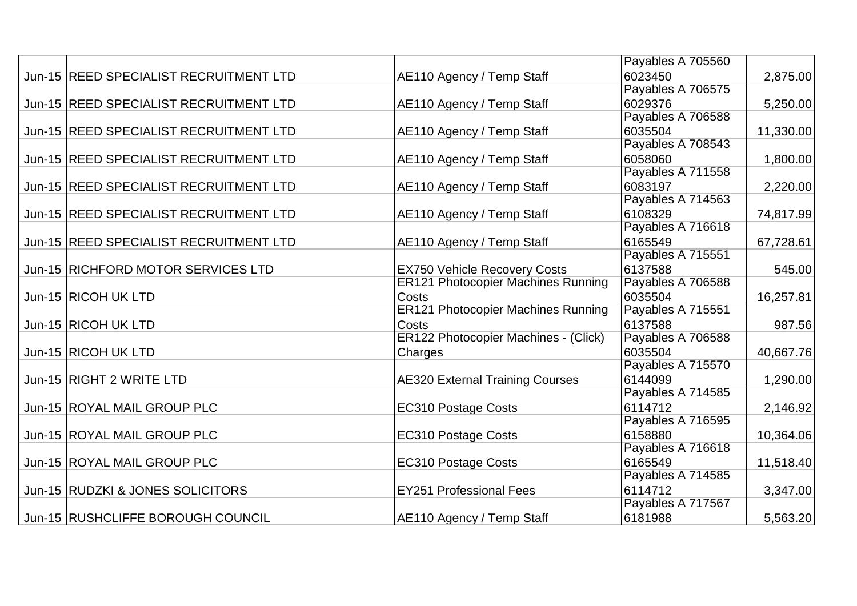|                                        |                                             | Payables A 705560 |           |
|----------------------------------------|---------------------------------------------|-------------------|-----------|
| Jun-15 REED SPECIALIST RECRUITMENT LTD | AE110 Agency / Temp Staff                   | 6023450           | 2,875.00  |
|                                        |                                             | Payables A 706575 |           |
| Jun-15 REED SPECIALIST RECRUITMENT LTD | AE110 Agency / Temp Staff                   | 6029376           | 5,250.00  |
|                                        |                                             | Payables A 706588 |           |
| Jun-15 REED SPECIALIST RECRUITMENT LTD | AE110 Agency / Temp Staff                   | 6035504           | 11,330.00 |
|                                        |                                             | Payables A 708543 |           |
| Jun-15 REED SPECIALIST RECRUITMENT LTD | AE110 Agency / Temp Staff                   | 6058060           | 1,800.00  |
|                                        |                                             | Payables A 711558 |           |
| Jun-15 REED SPECIALIST RECRUITMENT LTD | AE110 Agency / Temp Staff                   | 6083197           | 2,220.00  |
|                                        |                                             | Payables A 714563 |           |
| Jun-15 REED SPECIALIST RECRUITMENT LTD | AE110 Agency / Temp Staff                   | 6108329           | 74,817.99 |
|                                        |                                             | Payables A 716618 |           |
| Jun-15 REED SPECIALIST RECRUITMENT LTD | AE110 Agency / Temp Staff                   | 6165549           | 67,728.61 |
|                                        |                                             | Payables A 715551 |           |
| Jun-15 RICHFORD MOTOR SERVICES LTD     | <b>EX750 Vehicle Recovery Costs</b>         | 6137588           | 545.00    |
|                                        | <b>ER121 Photocopier Machines Running</b>   | Payables A 706588 |           |
| Jun-15 RICOH UK LTD                    | <b>Costs</b>                                | 6035504           | 16,257.81 |
|                                        | <b>ER121 Photocopier Machines Running</b>   | Payables A 715551 |           |
| Jun-15 RICOH UK LTD                    | <b>Costs</b>                                | 6137588           | 987.56    |
|                                        | <b>ER122 Photocopier Machines - (Click)</b> | Payables A 706588 |           |
| Jun-15 RICOH UK LTD                    | <b>Charges</b>                              | 6035504           | 40,667.76 |
|                                        |                                             | Payables A 715570 |           |
| Jun-15 RIGHT 2 WRITE LTD               | <b>AE320 External Training Courses</b>      | 6144099           | 1,290.00  |
|                                        |                                             | Payables A 714585 |           |
| Jun-15 ROYAL MAIL GROUP PLC            | <b>EC310 Postage Costs</b>                  | 6114712           | 2,146.92  |
|                                        |                                             | Payables A 716595 |           |
| Jun-15 ROYAL MAIL GROUP PLC            | <b>EC310 Postage Costs</b>                  | 6158880           | 10,364.06 |
|                                        |                                             | Payables A 716618 |           |
| Jun-15 ROYAL MAIL GROUP PLC            | <b>EC310 Postage Costs</b>                  | 6165549           | 11,518.40 |
|                                        |                                             | Payables A 714585 |           |
| Jun-15 RUDZKI & JONES SOLICITORS       | <b>EY251 Professional Fees</b>              | 6114712           | 3,347.00  |
|                                        |                                             | Payables A 717567 |           |
| Jun-15 RUSHCLIFFE BOROUGH COUNCIL      | AE110 Agency / Temp Staff                   | 6181988           | 5,563.20  |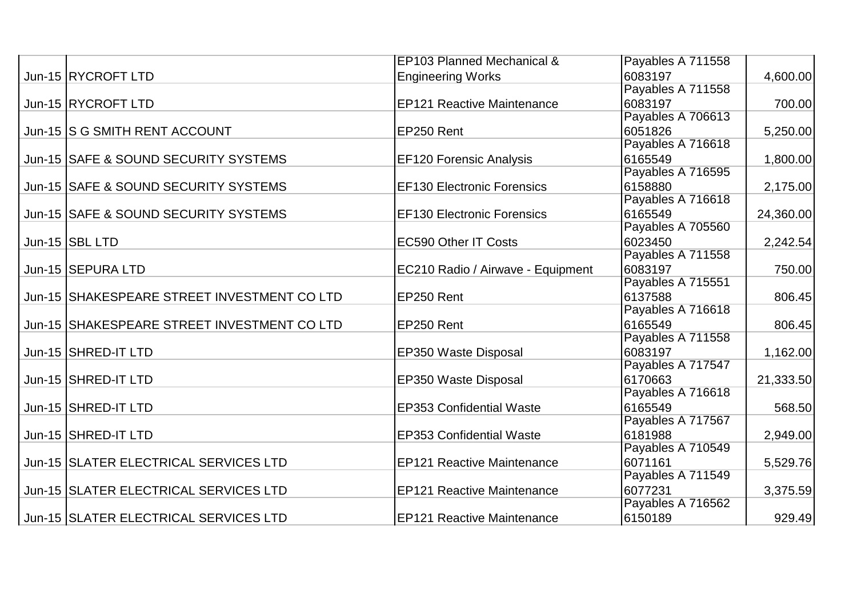|                                             | EP103 Planned Mechanical &        | Payables A 711558 |           |
|---------------------------------------------|-----------------------------------|-------------------|-----------|
| Jun-15 RYCROFT LTD                          | <b>Engineering Works</b>          | 6083197           | 4,600.00  |
|                                             |                                   | Payables A 711558 |           |
| Jun-15 RYCROFT LTD                          | <b>EP121 Reactive Maintenance</b> | 6083197           | 700.00    |
|                                             |                                   | Payables A 706613 |           |
| Jun-15 IS G SMITH RENT ACCOUNT              | EP250 Rent                        | 6051826           | 5,250.00  |
|                                             |                                   | Payables A 716618 |           |
| Jun-15 SAFE & SOUND SECURITY SYSTEMS        | <b>EF120 Forensic Analysis</b>    | 6165549           | 1,800.00  |
|                                             |                                   | Payables A 716595 |           |
| Jun-15 SAFE & SOUND SECURITY SYSTEMS        | <b>EF130 Electronic Forensics</b> | 6158880           | 2,175.00  |
|                                             |                                   | Payables A 716618 |           |
| Jun-15 SAFE & SOUND SECURITY SYSTEMS        | <b>EF130 Electronic Forensics</b> | 6165549           | 24,360.00 |
|                                             |                                   | Payables A 705560 |           |
| Jun-15 SBL LTD                              | <b>EC590 Other IT Costs</b>       | 6023450           | 2,242.54  |
|                                             |                                   | Payables A 711558 |           |
| Jun-15   SEPURA LTD                         | EC210 Radio / Airwave - Equipment | 6083197           | 750.00    |
|                                             |                                   | Payables A 715551 |           |
| Jun-15 SHAKESPEARE STREET INVESTMENT CO LTD | EP250 Rent                        | 6137588           | 806.45    |
|                                             |                                   | Payables A 716618 |           |
| Jun-15 SHAKESPEARE STREET INVESTMENT COLTD  | EP250 Rent                        | 6165549           | 806.45    |
|                                             |                                   | Payables A 711558 |           |
| Jun-15 SHRED-IT LTD                         | <b>EP350 Waste Disposal</b>       | 6083197           | 1,162.00  |
|                                             |                                   | Payables A 717547 |           |
| Jun-15 SHRED-IT LTD                         | EP350 Waste Disposal              | 6170663           | 21,333.50 |
|                                             |                                   | Payables A 716618 |           |
| Jun-15 SHRED-IT LTD                         | <b>EP353 Confidential Waste</b>   | 6165549           | 568.50    |
|                                             |                                   | Payables A 717567 |           |
| Jun-15 SHRED-IT LTD                         | <b>EP353 Confidential Waste</b>   | 6181988           | 2,949.00  |
|                                             |                                   | Payables A 710549 |           |
| Jun-15 SLATER ELECTRICAL SERVICES LTD       | <b>EP121 Reactive Maintenance</b> | 6071161           | 5,529.76  |
|                                             |                                   | Payables A 711549 |           |
| Jun-15 SLATER ELECTRICAL SERVICES LTD       | <b>EP121 Reactive Maintenance</b> | 6077231           | 3,375.59  |
|                                             |                                   | Payables A 716562 |           |
| Jun-15 SLATER ELECTRICAL SERVICES LTD       | <b>EP121 Reactive Maintenance</b> | 6150189           | 929.49    |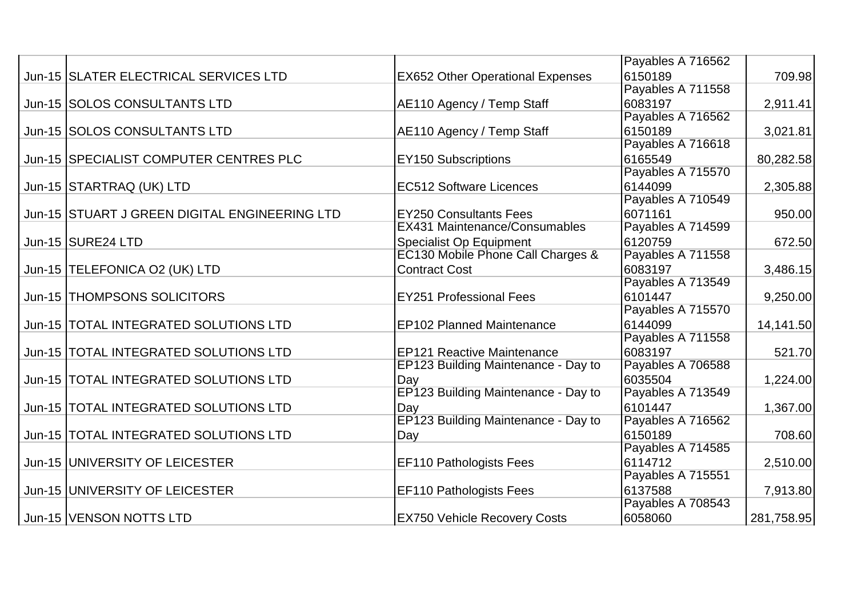|                                               |                                         | Payables A 716562 |            |
|-----------------------------------------------|-----------------------------------------|-------------------|------------|
| Jun-15 SLATER ELECTRICAL SERVICES LTD         | <b>EX652 Other Operational Expenses</b> | 6150189           | 709.98     |
|                                               |                                         | Payables A 711558 |            |
| Jun-15 SOLOS CONSULTANTS LTD                  | AE110 Agency / Temp Staff               | 6083197           | 2,911.41   |
|                                               |                                         | Payables A 716562 |            |
| Jun-15 SOLOS CONSULTANTS LTD                  | AE110 Agency / Temp Staff               | 6150189           | 3,021.81   |
|                                               |                                         | Payables A 716618 |            |
| Jun-15 SPECIALIST COMPUTER CENTRES PLC        | <b>EY150 Subscriptions</b>              | 6165549           | 80,282.58  |
|                                               |                                         | Payables A 715570 |            |
| Jun-15 STARTRAQ (UK) LTD                      | <b>EC512 Software Licences</b>          | 6144099           | 2,305.88   |
|                                               |                                         | Payables A 710549 |            |
| Jun-15 STUART J GREEN DIGITAL ENGINEERING LTD | <b>EY250 Consultants Fees</b>           | 6071161           | 950.00     |
|                                               | <b>EX431 Maintenance/Consumables</b>    | Payables A 714599 |            |
| Jun-15 SURE24 LTD                             | <b>Specialist Op Equipment</b>          | 6120759           | 672.50     |
|                                               | EC130 Mobile Phone Call Charges &       | Payables A 711558 |            |
| Jun-15  TELEFONICA O2 (UK) LTD                | <b>Contract Cost</b>                    | 6083197           | 3,486.15   |
|                                               |                                         | Payables A 713549 |            |
| Jun-15 THOMPSONS SOLICITORS                   | <b>EY251 Professional Fees</b>          | 6101447           | 9,250.00   |
|                                               |                                         | Payables A 715570 |            |
| Jun-15  TOTAL INTEGRATED SOLUTIONS LTD        | <b>EP102 Planned Maintenance</b>        | 6144099           | 14,141.50  |
|                                               |                                         | Payables A 711558 |            |
| Jun-15  TOTAL INTEGRATED SOLUTIONS LTD        | <b>EP121 Reactive Maintenance</b>       | 6083197           | 521.70     |
|                                               | EP123 Building Maintenance - Day to     | Payables A 706588 |            |
| Jun-15 TOTAL INTEGRATED SOLUTIONS LTD         | Day                                     | 6035504           | 1,224.00   |
|                                               | EP123 Building Maintenance - Day to     | Payables A 713549 |            |
| Jun-15  TOTAL INTEGRATED SOLUTIONS LTD        | Day                                     | 6101447           | 1,367.00   |
|                                               | EP123 Building Maintenance - Day to     | Payables A 716562 |            |
| Jun-15  TOTAL INTEGRATED SOLUTIONS LTD        | Day                                     | 6150189           | 708.60     |
|                                               |                                         | Payables A 714585 |            |
| Jun-15   UNIVERSITY OF LEICESTER              | <b>EF110 Pathologists Fees</b>          | 6114712           | 2,510.00   |
|                                               |                                         | Payables A 715551 |            |
| Jun-15 UNIVERSITY OF LEICESTER                | <b>EF110 Pathologists Fees</b>          | 6137588           | 7,913.80   |
|                                               |                                         | Payables A 708543 |            |
| Jun-15   VENSON NOTTS LTD                     | <b>EX750 Vehicle Recovery Costs</b>     | 6058060           | 281,758.95 |